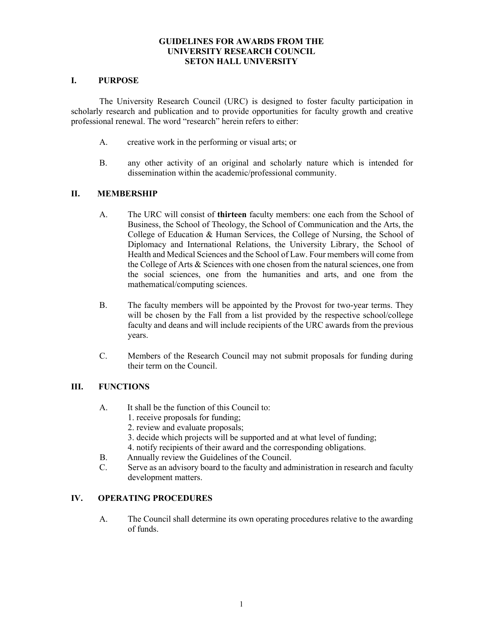#### **GUIDELINES FOR AWARDS FROM THE UNIVERSITY RESEARCH COUNCIL SETON HALL UNIVERSITY**

#### **I. PURPOSE**

The University Research Council (URC) is designed to foster faculty participation in scholarly research and publication and to provide opportunities for faculty growth and creative professional renewal. The word "research" herein refers to either:

- A. creative work in the performing or visual arts; or
- B. any other activity of an original and scholarly nature which is intended for dissemination within the academic/professional community.

### **II. MEMBERSHIP**

- A. The URC will consist of **thirteen** faculty members: one each from the School of Business, the School of Theology, the School of Communication and the Arts, the College of Education & Human Services, the College of Nursing, the School of Diplomacy and International Relations, the University Library, the School of Health and Medical Sciences and the School of Law. Four members will come from the College of Arts & Sciences with one chosen from the natural sciences, one from the social sciences, one from the humanities and arts, and one from the mathematical/computing sciences.
- B. The faculty members will be appointed by the Provost for two-year terms. They will be chosen by the Fall from a list provided by the respective school/college faculty and deans and will include recipients of the URC awards from the previous years.
- C. Members of the Research Council may not submit proposals for funding during their term on the Council.

# **III. FUNCTIONS**

- A. It shall be the function of this Council to:
	- 1. receive proposals for funding;
	- 2. review and evaluate proposals;
	- 3. decide which projects will be supported and at what level of funding;
	- 4. notify recipients of their award and the corresponding obligations.
- B. Annually review the Guidelines of the Council.
- C. Serve as an advisory board to the faculty and administration in research and faculty development matters.

#### **IV. OPERATING PROCEDURES**

A. The Council shall determine its own operating procedures relative to the awarding of funds.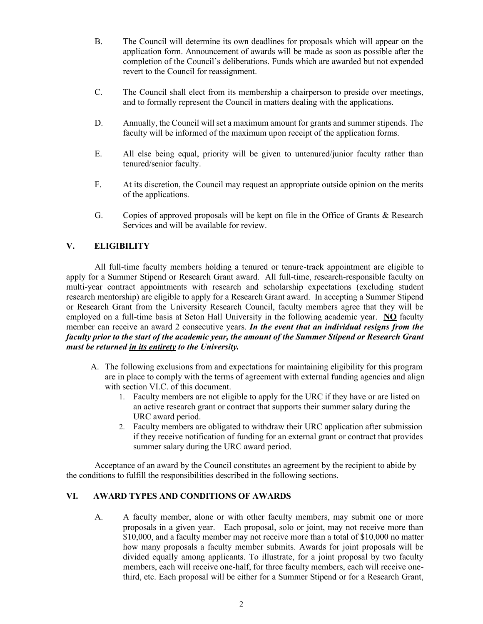- B. The Council will determine its own deadlines for proposals which will appear on the application form. Announcement of awards will be made as soon as possible after the completion of the Council's deliberations. Funds which are awarded but not expended revert to the Council for reassignment.
- C. The Council shall elect from its membership a chairperson to preside over meetings, and to formally represent the Council in matters dealing with the applications.
- D. Annually, the Council will set a maximum amount for grants and summer stipends. The faculty will be informed of the maximum upon receipt of the application forms.
- E. All else being equal, priority will be given to untenured/junior faculty rather than tenured/senior faculty.
- F. At its discretion, the Council may request an appropriate outside opinion on the merits of the applications.
- G. Copies of approved proposals will be kept on file in the Office of Grants & Research Services and will be available for review.

# **V. ELIGIBILITY**

All full-time faculty members holding a tenured or tenure-track appointment are eligible to apply for a Summer Stipend or Research Grant award. All full-time, research-responsible faculty on multi-year contract appointments with research and scholarship expectations (excluding student research mentorship) are eligible to apply for a Research Grant award. In accepting a Summer Stipend or Research Grant from the University Research Council, faculty members agree that they will be employed on a full-time basis at Seton Hall University in the following academic year. **NO** faculty member can receive an award 2 consecutive years. *In the event that an individual resigns from the faculty prior to the start of the academic year, the amount of the Summer Stipend or Research Grant must be returned in its entirety to the University.*

- A. The following exclusions from and expectations for maintaining eligibility for this program are in place to comply with the terms of agreement with external funding agencies and align with section VI.C. of this document.
	- 1. Faculty members are not eligible to apply for the URC if they have or are listed on an active research grant or contract that supports their summer salary during the URC award period.
	- 2. Faculty members are obligated to withdraw their URC application after submission if they receive notification of funding for an external grant or contract that provides summer salary during the URC award period.

Acceptance of an award by the Council constitutes an agreement by the recipient to abide by the conditions to fulfill the responsibilities described in the following sections.

# **VI. AWARD TYPES AND CONDITIONS OF AWARDS**

A. A faculty member, alone or with other faculty members, may submit one or more proposals in a given year. Each proposal, solo or joint, may not receive more than \$10,000, and a faculty member may not receive more than a total of \$10,000 no matter how many proposals a faculty member submits. Awards for joint proposals will be divided equally among applicants. To illustrate, for a joint proposal by two faculty members, each will receive one-half, for three faculty members, each will receive onethird, etc. Each proposal will be either for a Summer Stipend or for a Research Grant,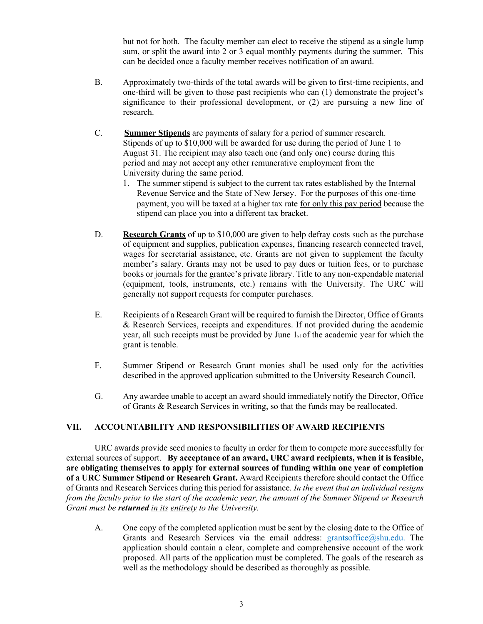but not for both. The faculty member can elect to receive the stipend as a single lump sum, or split the award into 2 or 3 equal monthly payments during the summer. This can be decided once a faculty member receives notification of an award.

- B. Approximately two-thirds of the total awards will be given to first-time recipients, and one-third will be given to those past recipients who can  $(1)$  demonstrate the project's significance to their professional development, or (2) are pursuing a new line of research.
- C. **Summer Stipends** are payments of salary for a period of summer research. Stipends of up to \$10,000 will be awarded for use during the period of June 1 to August 31. The recipient may also teach one (and only one) course during this period and may not accept any other remunerative employment from the University during the same period.
	- 1. The summer stipend is subject to the current tax rates established by the Internal Revenue Service and the State of New Jersey. For the purposes of this one-time payment, you will be taxed at a higher tax rate for only this pay period because the stipend can place you into a different tax bracket.
- D. **Research Grants** of up to \$10,000 are given to help defray costs such as the purchase of equipment and supplies, publication expenses, financing research connected travel, wages for secretarial assistance, etc. Grants are not given to supplement the faculty member's salary. Grants may not be used to pay dues or tuition fees, or to purchase books or journals for the grantee's private library. Title to any non-expendable material (equipment, tools, instruments, etc.) remains with the University. The URC will generally not support requests for computer purchases.
- E. Recipients of a Research Grant will be required to furnish the Director, Office of Grants & Research Services, receipts and expenditures. If not provided during the academic year, all such receipts must be provided by June  $1<sub>st</sub>$  of the academic year for which the grant is tenable.
- F. Summer Stipend or Research Grant monies shall be used only for the activities described in the approved application submitted to the University Research Council.
- G. Any awardee unable to accept an award should immediately notify the Director, Office of Grants & Research Services in writing, so that the funds may be reallocated.

#### **VII. ACCOUNTABILITY AND RESPONSIBILITIES OF AWARD RECIPIENTS**

URC awards provide seed monies to faculty in order for them to compete more successfully for external sources of support. **By acceptance of an award, URC award recipients, when it is feasible, are obligating themselves to apply for external sources of funding within one year of completion of a URC Summer Stipend or Research Grant.** Award Recipients therefore should contact the Office of Grants and Research Services during this period for assistance. *In the event that an individual resigns from the faculty prior to the start of the academic year, the amount of the Summer Stipend or Research Grant must be returned in its entirety to the University.*

A. One copy of the completed application must be sent by the closing date to the Office of Grants and Research Services via the email address:  $grantsoffice@shu.edu$ . The application should contain a clear, complete and comprehensive account of the work proposed. All parts of the application must be completed. The goals of the research as well as the methodology should be described as thoroughly as possible.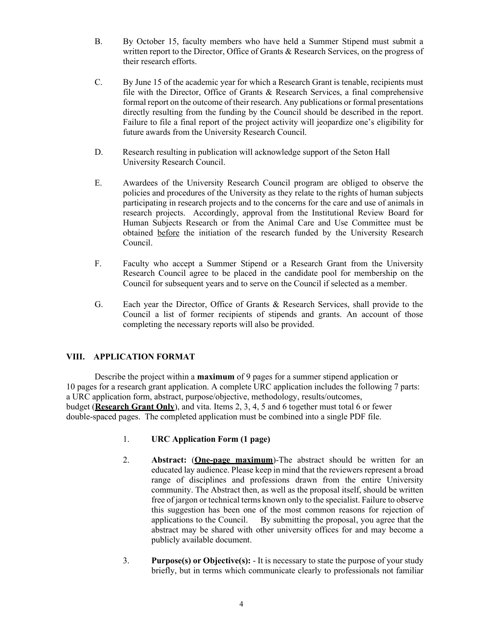- B. By October 15, faculty members who have held a Summer Stipend must submit a written report to the Director, Office of Grants & Research Services, on the progress of their research efforts.
- C. By June 15 of the academic year for which a Research Grant is tenable, recipients must file with the Director, Office of Grants & Research Services, a final comprehensive formal report on the outcome of their research. Any publications or formal presentations directly resulting from the funding by the Council should be described in the report. Failure to file a final report of the project activity will jeopardize one's eligibility for future awards from the University Research Council.
- D. Research resulting in publication will acknowledge support of the Seton Hall University Research Council.
- E. Awardees of the University Research Council program are obliged to observe the policies and procedures of the University as they relate to the rights of human subjects participating in research projects and to the concerns for the care and use of animals in research projects. Accordingly, approval from the Institutional Review Board for Human Subjects Research or from the Animal Care and Use Committee must be obtained before the initiation of the research funded by the University Research Council.
- F. Faculty who accept a Summer Stipend or a Research Grant from the University Research Council agree to be placed in the candidate pool for membership on the Council for subsequent years and to serve on the Council if selected as a member.
- G. Each year the Director, Office of Grants & Research Services, shall provide to the Council a list of former recipients of stipends and grants. An account of those completing the necessary reports will also be provided.

# **VIII. APPLICATION FORMAT**

Describe the project within a **maximum** of 9 pages for a summer stipend application or 10 pages for a research grant application. A complete URC application includes the following 7 parts: a URC application form, abstract, purpose/objective, methodology, results/outcomes, budget (**Research Grant Only**), and vita. Items 2, 3, 4, 5 and 6 together must total 6 or fewer double-spaced pages. The completed application must be combined into a single PDF file.

- 1. **URC Application Form (1 page)**
- 2. **Abstract:** (**One-page maximum**)-The abstract should be written for an educated lay audience. Please keep in mind that the reviewers represent a broad range of disciplines and professions drawn from the entire University community. The Abstract then, as well as the proposal itself, should be written free of jargon or technical terms known only to the specialist. Failure to observe this suggestion has been one of the most common reasons for rejection of applications to the Council. By submitting the proposal, you agree that the abstract may be shared with other university offices for and may become a publicly available document.
- 3. **Purpose(s) or Objective(s):**  It is necessary to state the purpose of your study briefly, but in terms which communicate clearly to professionals not familiar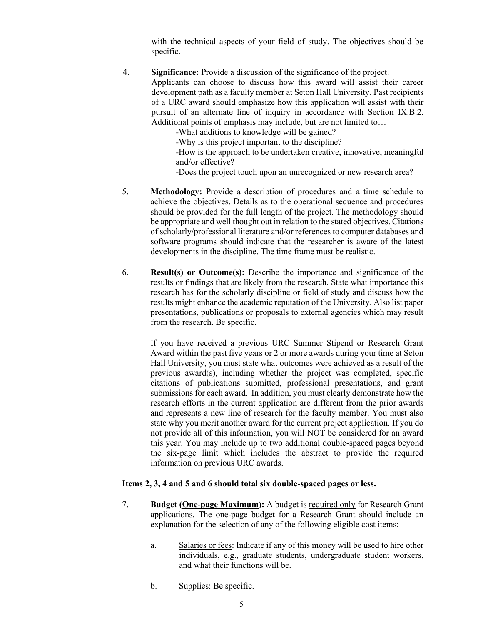with the technical aspects of your field of study. The objectives should be specific.

4. **Significance:** Provide a discussion of the significance of the project.

Applicants can choose to discuss how this award will assist their career development path as a faculty member at Seton Hall University. Past recipients of a URC award should emphasize how this application will assist with their pursuit of an alternate line of inquiry in accordance with Section IX.B.2. Additional points of emphasis may include, but are not limited to...

-What additions to knowledge will be gained?

-Why is this project important to the discipline?

-How is the approach to be undertaken creative, innovative, meaningful and/or effective?

-Does the project touch upon an unrecognized or new research area?

- 5. **Methodology:** Provide a description of procedures and a time schedule to achieve the objectives. Details as to the operational sequence and procedures should be provided for the full length of the project. The methodology should be appropriate and well thought out in relation to the stated objectives. Citations of scholarly/professional literature and/or references to computer databases and software programs should indicate that the researcher is aware of the latest developments in the discipline. The time frame must be realistic.
- 6. **Result(s) or Outcome(s):** Describe the importance and significance of the results or findings that are likely from the research. State what importance this research has for the scholarly discipline or field of study and discuss how the results might enhance the academic reputation of the University. Also list paper presentations, publications or proposals to external agencies which may result from the research. Be specific.

If you have received a previous URC Summer Stipend or Research Grant Award within the past five years or 2 or more awards during your time at Seton Hall University, you must state what outcomes were achieved as a result of the previous award(s), including whether the project was completed, specific citations of publications submitted, professional presentations, and grant submissions for each award. In addition, you must clearly demonstrate how the research efforts in the current application are different from the prior awards and represents a new line of research for the faculty member. You must also state why you merit another award for the current project application. If you do not provide all of this information, you will NOT be considered for an award this year. You may include up to two additional double-spaced pages beyond the six-page limit which includes the abstract to provide the required information on previous URC awards.

#### **Items 2, 3, 4 and 5 and 6 should total six double-spaced pages or less.**

- 7. **Budget (One-page Maximum):** A budget is required only for Research Grant applications. The one-page budget for a Research Grant should include an explanation for the selection of any of the following eligible cost items:
	- a. Salaries or fees: Indicate if any of this money will be used to hire other individuals, e.g., graduate students, undergraduate student workers, and what their functions will be.
	- b. Supplies: Be specific.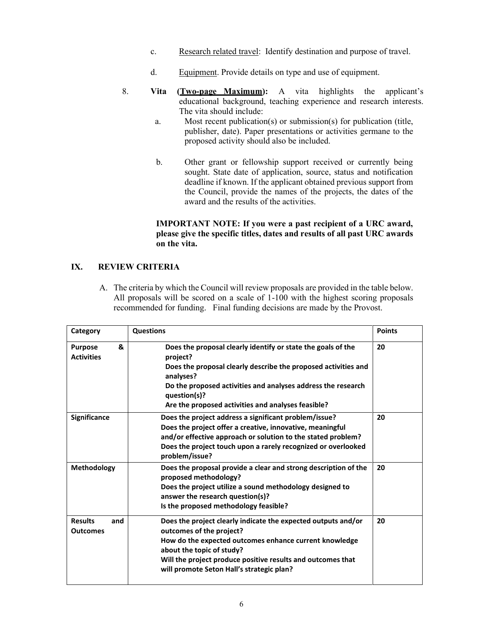- c. Research related travel: Identify destination and purpose of travel.
- d. Equipment. Provide details on type and use of equipment.
- 8. **Vita (Two-page Maximum):** A vita highlights the applicant's educational background, teaching experience and research interests. The vita should include:
	- a. Most recent publication(s) or submission(s) for publication (title, publisher, date). Paper presentations or activities germane to the proposed activity should also be included.
	- b. Other grant or fellowship support received or currently being sought. State date of application, source, status and notification deadline if known. If the applicant obtained previous support from the Council, provide the names of the projects, the dates of the award and the results of the activities.

#### **IMPORTANT NOTE: If you were a past recipient of a URC award, please give the specific titles, dates and results of all past URC awards on the vita.**

# **IX. REVIEW CRITERIA**

A. The criteria by which the Council will review proposals are provided in the table below. All proposals will be scored on a scale of 1-100 with the highest scoring proposals recommended for funding. Final funding decisions are made by the Provost.

| Category                                 | <b>Questions</b>                                                                                                                                                                                                                                                                              | <b>Points</b> |
|------------------------------------------|-----------------------------------------------------------------------------------------------------------------------------------------------------------------------------------------------------------------------------------------------------------------------------------------------|---------------|
| &<br><b>Purpose</b><br><b>Activities</b> | Does the proposal clearly identify or state the goals of the<br>project?<br>Does the proposal clearly describe the proposed activities and<br>analyses?<br>Do the proposed activities and analyses address the research<br>question(s)?<br>Are the proposed activities and analyses feasible? | 20            |
| <b>Significance</b>                      | Does the project address a significant problem/issue?<br>Does the project offer a creative, innovative, meaningful<br>and/or effective approach or solution to the stated problem?<br>Does the project touch upon a rarely recognized or overlooked<br>problem/issue?                         | 20            |
| <b>Methodology</b>                       | Does the proposal provide a clear and strong description of the<br>proposed methodology?<br>Does the project utilize a sound methodology designed to<br>answer the research question(s)?<br>Is the proposed methodology feasible?                                                             | 20            |
| <b>Results</b><br>and<br><b>Outcomes</b> | Does the project clearly indicate the expected outputs and/or<br>outcomes of the project?<br>How do the expected outcomes enhance current knowledge<br>about the topic of study?<br>Will the project produce positive results and outcomes that<br>will promote Seton Hall's strategic plan?  | 20            |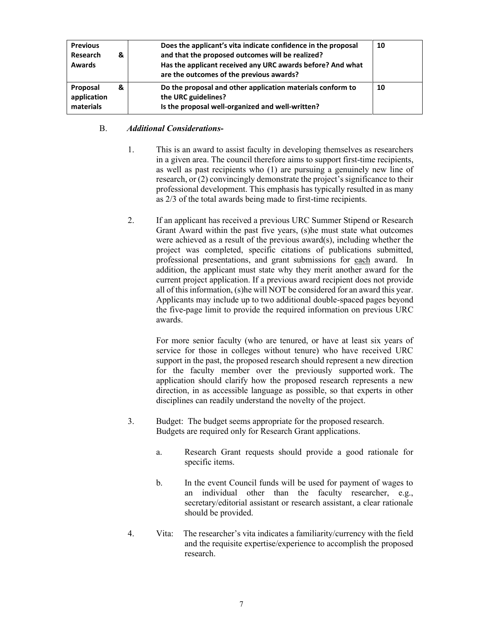| <b>Previous</b><br>Research<br><b>Awards</b> | & | Does the applicant's vita indicate confidence in the proposal<br>and that the proposed outcomes will be realized?<br>Has the applicant received any URC awards before? And what<br>are the outcomes of the previous awards? | 10 |
|----------------------------------------------|---|-----------------------------------------------------------------------------------------------------------------------------------------------------------------------------------------------------------------------------|----|
| Proposal<br>application<br>materials         | & | Do the proposal and other application materials conform to<br>the URC guidelines?<br>Is the proposal well-organized and well-written?                                                                                       | 10 |

## B. *Additional Considerations***-**

- 1. This is an award to assist faculty in developing themselves as researchers in a given area. The council therefore aims to support first-time recipients, as well as past recipients who (1) are pursuing a genuinely new line of research, or  $(2)$  convincingly demonstrate the project's significance to their professional development. This emphasis has typically resulted in as many as 2/3 of the total awards being made to first-time recipients.
- 2. If an applicant has received a previous URC Summer Stipend or Research Grant Award within the past five years, (s)he must state what outcomes were achieved as a result of the previous award(s), including whether the project was completed, specific citations of publications submitted, professional presentations, and grant submissions for each award. In addition, the applicant must state why they merit another award for the current project application. If a previous award recipient does not provide all of this information, (s)he will NOT be considered for an award this year. Applicants may include up to two additional double-spaced pages beyond the five-page limit to provide the required information on previous URC awards.

For more senior faculty (who are tenured, or have at least six years of service for those in colleges without tenure) who have received URC support in the past, the proposed research should represent a new direction for the faculty member over the previously supported work. The application should clarify how the proposed research represents a new direction, in as accessible language as possible, so that experts in other disciplines can readily understand the novelty of the project.

- 3. Budget: The budget seems appropriate for the proposed research. Budgets are required only for Research Grant applications.
	- a. Research Grant requests should provide a good rationale for specific items.
	- b. In the event Council funds will be used for payment of wages to an individual other than the faculty researcher, e.g., secretary/editorial assistant or research assistant, a clear rationale should be provided.
- 4. Vita: The researcher's vita indicates a familiarity/currency with the field and the requisite expertise/experience to accomplish the proposed research.